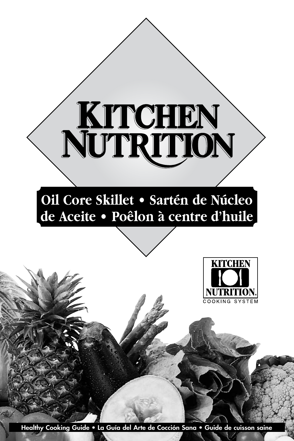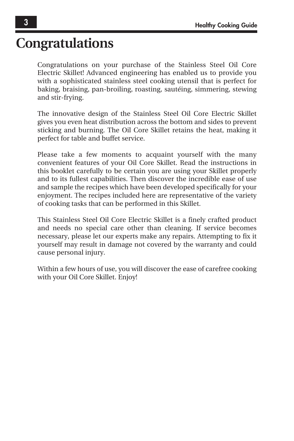## **Congratulations**

Congratulations on your purchase of the Stainless Steel Oil Core Electric Skillet! Advanced engineering has enabled us to provide you with a sophisticated stainless steel cooking utensil that is perfect for baking, braising, pan-broiling, roasting, sautéing, simmering, stewing and stir-frying.

The innovative design of the Stainless Steel Oil Core Electric Skillet gives you even heat distribution across the bottom and sides to prevent sticking and burning. The Oil Core Skillet retains the heat, making it perfect for table and buffet service.

Please take a few moments to acquaint yourself with the many convenient features of your Oil Core Skillet. Read the instructions in this booklet carefully to be certain you are using your Skillet properly and to its fullest capabilities. Then discover the incredible ease of use and sample the recipes which have been developed specifically for your enjoyment. The recipes included here are representative of the variety of cooking tasks that can be performed in this Skillet.

This Stainless Steel Oil Core Electric Skillet is a finely crafted product and needs no special care other than cleaning. If service becomes necessary, please let our experts make any repairs. Attempting to fix it yourself may result in damage not covered by the warranty and could cause personal injury.

Within a few hours of use, you will discover the ease of carefree cooking with your Oil Core Skillet. Enjoy!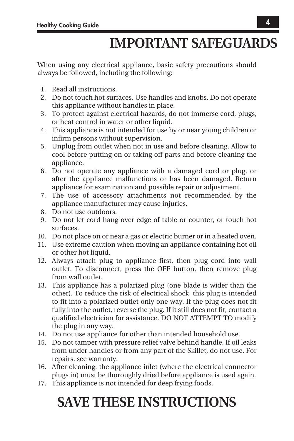# **IMPORTANT SAFEGUARDS**

When using any electrical appliance, basic safety precautions should always be followed, including the following:

- 1. Read all instructions.
- 2. Do not touch hot surfaces. Use handles and knobs. Do not operate this appliance without handles in place.
- 3. To protect against electrical hazards, do not immerse cord, plugs, or heat control in water or other liquid.
- 4. This appliance is not intended for use by or near young children or infirm persons without supervision.
- 5. Unplug from outlet when not in use and before cleaning. Allow to cool before putting on or taking off parts and before cleaning the appliance.
- 6. Do not operate any appliance with a damaged cord or plug, or after the appliance malfunctions or has been damaged. Return appliance for examination and possible repair or adjustment.
- 7. The use of accessory attachments not recommended by the appliance manufacturer may cause injuries.
- 8. Do not use outdoors.
- 9. Do not let cord hang over edge of table or counter, or touch hot surfaces.
- 10. Do not place on or near a gas or electric burner or in a heated oven.
- 11. Use extreme caution when moving an appliance containing hot oil or other hot liquid.
- 12. Always attach plug to appliance first, then plug cord into wall outlet. To disconnect, press the OFF button, then remove plug from wall outlet.
- 13. This appliance has a polarized plug (one blade is wider than the other). To reduce the risk of electrical shock, this plug is intended to fit into a polarized outlet only one way. If the plug does not fit fully into the outlet, reverse the plug. If it still does not fit, contact a qualified electrician for assistance. DO NOT ATTEMPT TO modify the plug in any way.
- 14. Do not use appliance for other than intended household use.
- 15. Do not tamper with pressure relief valve behind handle. If oil leaks from under handles or from any part of the Skillet, do not use. For repairs, see warranty.
- 16. After cleaning, the appliance inlet (where the electrical connector plugs in) must be thoroughly dried before appliance is used again.
- 17. This appliance is not intended for deep frying foods.

# **SAVE THESE INSTRUCTIONS**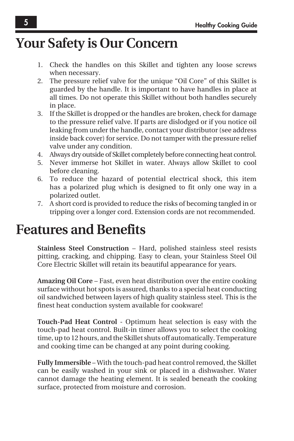## **Your Safety is Our Concern**

- 1. Check the handles on this Skillet and tighten any loose screws when necessary.
- 2. The pressure relief valve for the unique "Oil Core" of this Skillet is guarded by the handle. It is important to have handles in place at all times. Do not operate this Skillet without both handles securely in place.
- 3. If the Skillet is dropped or the handles are broken, check for damage to the pressure relief valve. If parts are dislodged or if you notice oil leaking from under the handle, contact your distributor (see address inside back cover) for service. Do not tamper with the pressure relief valve under any condition.
- 4. Always dry outside of Skillet completely before connecting heat control.
- 5. Never immerse hot Skillet in water. Always allow Skillet to cool before cleaning.
- 6. To reduce the hazard of potential electrical shock, this item has a polarized plug which is designed to fit only one way in a polarized outlet.
- 7. A short cord is provided to reduce the risks of becoming tangled in or tripping over a longer cord. Extension cords are not recommended.

## **Features and Benefits**

**Stainless Steel Construction** – Hard, polished stainless steel resists pitting, cracking, and chipping. Easy to clean, your Stainless Steel Oil Core Electric Skillet will retain its beautiful appearance for years.

**Amazing Oil Core** – Fast, even heat distribution over the entire cooking surface without hot spots is assured, thanks to a special heat conducting oil sandwiched between layers of high quality stainless steel. This is the finest heat conduction system available for cookware!

**Touch-Pad Heat Control** - Optimum heat selection is easy with the touch-pad heat control. Built-in timer allows you to select the cooking time, up to 12 hours, and the Skillet shuts off automatically. Temperature and cooking time can be changed at any point during cooking.

**Fully Immersible** – With the touch-pad heat control removed, the Skillet can be easily washed in your sink or placed in a dishwasher. Water cannot damage the heating element. It is sealed beneath the cooking surface, protected from moisture and corrosion.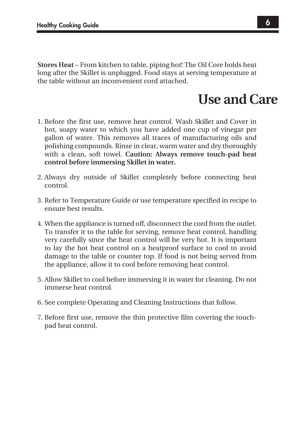**Stores Heat** – From kitchen to table, piping hot! The Oil Core holds heat long after the Skillet is unplugged. Food stays at serving temperature at the table without an inconvenient cord attached.

## **Use and Care**

- 1. Before the first use, remove heat control. Wash Skillet and Cover in hot, soapy water to which you have added one cup of vinegar per gallon of water. This removes all traces of manufacturing oils and polishing compounds. Rinse in clear, warm water and dry thoroughly with a clean, soft towel. **Caution: Always remove touch-pad heat control before immersing Skillet in water.**
- 2. Always dry outside of Skillet completely before connecting heat control.
- 3. Refer to Temperature Guide or use temperature specified in recipe to ensure best results.
- 4. When the appliance is turned off, disconnect the cord from the outlet. To transfer it to the table for serving, remove heat control, handling very carefully since the heat control will be very hot. It is important to lay the hot heat control on a heatproof surface to cool to avoid damage to the table or counter top. If food is not being served from the appliance, allow it to cool before removing heat control.
- 5. Allow Skillet to cool before immersing it in water for cleaning. Do not immerse heat control.
- 6. See complete Operating and Cleaning Instructions that follow.
- 7. Before first use, remove the thin protective film covering the touchpad heat control.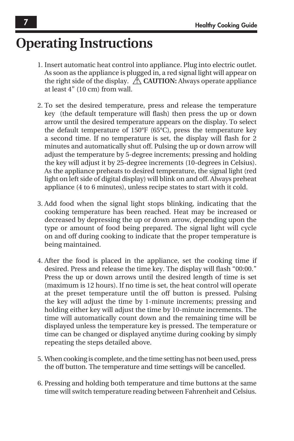## **Operating Instructions**

- 1. Insert automatic heat control into appliance. Plug into electric outlet. As soon as the appliance is plugged in, a red signal light will appear on the right side of the display.  $\triangle$  **CAUTION:** Always operate appliance at least 4" (10 cm) from wall.
- 2. To set the desired temperature, press and release the temperature key (the default temperature will flash) then press the up or down arrow until the desired temperature appears on the display. To select the default temperature of 150°F (65°C), press the temperature key a second time. If no temperature is set, the display will flash for 2 minutes and automatically shut off. Pulsing the up or down arrow will adjust the temperature by 5-degree increments; pressing and holding the key will adjust it by 25-degree increments (10-degrees in Celsius). As the appliance preheats to desired temperature, the signal light (red light on left side of digital display) will blink on and off. Always preheat appliance (4 to 6 minutes), unless recipe states to start with it cold.
- 3. Add food when the signal light stops blinking, indicating that the cooking temperature has been reached. Heat may be increased or decreased by depressing the up or down arrow, depending upon the type or amount of food being prepared. The signal light will cycle on and off during cooking to indicate that the proper temperature is being maintained.
- 4. After the food is placed in the appliance, set the cooking time if desired. Press and release the time key. The display will flash "00:00." Press the up or down arrows until the desired length of time is set (maximum is 12 hours). If no time is set, the heat control will operate at the preset temperature until the off button is pressed. Pulsing the key will adjust the time by 1-minute increments; pressing and holding either key will adjust the time by 10-minute increments. The time will automatically count down and the remaining time will be displayed unless the temperature key is pressed. The temperature or time can be changed or displayed anytime during cooking by simply repeating the steps detailed above.
- 5. When cooking is complete, and the time setting has not been used, press the off button. The temperature and time settings will be cancelled.
- 6. Pressing and holding both temperature and time buttons at the same time will switch temperature reading between Fahrenheit and Celsius.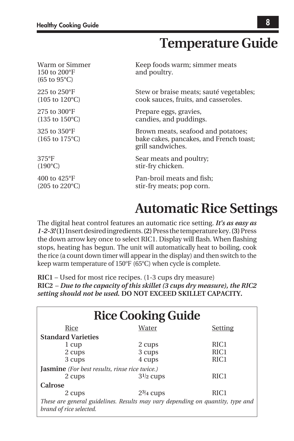## **Temperature Guide**

| Warm or Simmer<br>150 to 200°F<br>$(65 \text{ to } 95^{\circ} \text{C})$ | Keep foods warm; simmer meats<br>and poultry.                                                      |
|--------------------------------------------------------------------------|----------------------------------------------------------------------------------------------------|
| 225 to $250^{\circ}$ F                                                   | Stew or braise meats; sauté vegetables;                                                            |
| $(105 \text{ to } 120^{\circ}\text{C})$                                  | cook sauces, fruits, and casseroles.                                                               |
| 275 to $300^{\circ}$ F                                                   | Prepare eggs, gravies,                                                                             |
| $(135 \text{ to } 150^{\circ} \text{C})$                                 | candies, and puddings.                                                                             |
| 325 to 350°F<br>$(165 \text{ to } 175^{\circ}\text{C})$                  | Brown meats, seafood and potatoes;<br>bake cakes, pancakes, and French toast;<br>grill sandwiches. |
| $375^{\circ}F$                                                           | Sear meats and poultry;                                                                            |
| $(190^{\circ}C)$                                                         | stir-fry chicken.                                                                                  |
| 400 to 425°F                                                             | Pan-broil meats and fish;                                                                          |
| $(205 \text{ to } 220^{\circ}\text{C})$                                  | stir-fry meats; pop corn.                                                                          |

## **Automatic Rice Settings**

The digital heat control features an automatic rice setting. *It's as easy as 1-2-3!* **(1)** Insert desired ingredients. **(2)** Press the temperature key. **(3)** Press the down arrow key once to select RIC1. Display will flash. When flashing stops, heating has begun. The unit will automatically heat to boiling, cook the rice (a count down timer will appear in the display) and then switch to the keep warm temperature of 150°F (65°C) when cycle is complete.

**RIC1** – Used for most rice recipes. (1-3 cups dry measure) **RIC2** – *Due to the capacity of this skillet (3 cups dry measure), the RIC2 setting should not be used.* **DO NOT EXCEED SKILLET CAPACITY.**

| <b>Rice Cooking Guide</b>                                                                                 |                |                  |  |  |  |  |  |  |  |  |  |  |
|-----------------------------------------------------------------------------------------------------------|----------------|------------------|--|--|--|--|--|--|--|--|--|--|
| Rice                                                                                                      | Water          | Setting          |  |  |  |  |  |  |  |  |  |  |
| <b>Standard Varieties</b>                                                                                 |                |                  |  |  |  |  |  |  |  |  |  |  |
| 1 cup                                                                                                     | 2 cups         | RIC <sub>1</sub> |  |  |  |  |  |  |  |  |  |  |
| 2 cups                                                                                                    | 3 cups         | RIC <sub>1</sub> |  |  |  |  |  |  |  |  |  |  |
| 3 cups                                                                                                    | 4 cups         | RIC <sub>1</sub> |  |  |  |  |  |  |  |  |  |  |
| <b>Jasmine</b> (For best results, rinse rice twice.)                                                      |                |                  |  |  |  |  |  |  |  |  |  |  |
| 2 cups                                                                                                    | $31/2$ cups    | RIC <sub>1</sub> |  |  |  |  |  |  |  |  |  |  |
| Calrose                                                                                                   |                |                  |  |  |  |  |  |  |  |  |  |  |
| 2 cups                                                                                                    | $2^{3/4}$ cups | RIC <sub>1</sub> |  |  |  |  |  |  |  |  |  |  |
| These are general guidelines. Results may vary depending on quantity, type and<br>brand of rice selected. |                |                  |  |  |  |  |  |  |  |  |  |  |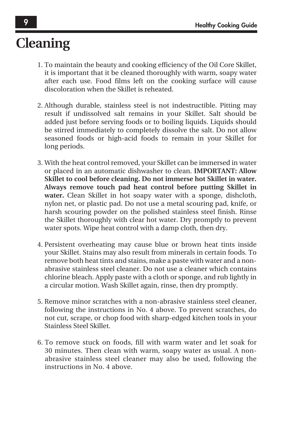# **Cleaning**

- 1. To maintain the beauty and cooking efficiency of the Oil Core Skillet, it is important that it be cleaned thoroughly with warm, soapy water after each use. Food films left on the cooking surface will cause discoloration when the Skillet is reheated.
- 2. Although durable, stainless steel is not indestructible. Pitting may result if undissolved salt remains in your Skillet. Salt should be added just before serving foods or to boiling liquids. Liquids should be stirred immediately to completely dissolve the salt. Do not allow seasoned foods or high-acid foods to remain in your Skillet for long periods.
- 3. With the heat control removed, your Skillet can be immersed in water or placed in an automatic dishwasher to clean. **IMPORTANT: Allow Skillet to cool before cleaning. Do not immerse hot Skillet in water. Always remove touch pad heat control before putting Skillet in water.** Clean Skillet in hot soapy water with a sponge, dishcloth, nylon net, or plastic pad. Do not use a metal scouring pad, knife, or harsh scouring powder on the polished stainless steel finish. Rinse the Skillet thoroughly with clear hot water. Dry promptly to prevent water spots. Wipe heat control with a damp cloth, then dry.
- 4. Persistent overheating may cause blue or brown heat tints inside your Skillet. Stains may also result from minerals in certain foods. To remove both heat tints and stains, make a paste with water and a nonabrasive stainless steel cleaner. Do not use a cleaner which contains chlorine bleach. Apply paste with a cloth or sponge, and rub lightly in a circular motion. Wash Skillet again, rinse, then dry promptly.
- 5. Remove minor scratches with a non-abrasive stainless steel cleaner, following the instructions in No. 4 above. To prevent scratches, do not cut, scrape, or chop food with sharp-edged kitchen tools in your Stainless Steel Skillet.
- 6. To remove stuck on foods, fill with warm water and let soak for 30 minutes. Then clean with warm, soapy water as usual. A nonabrasive stainless steel cleaner may also be used, following the instructions in No. 4 above.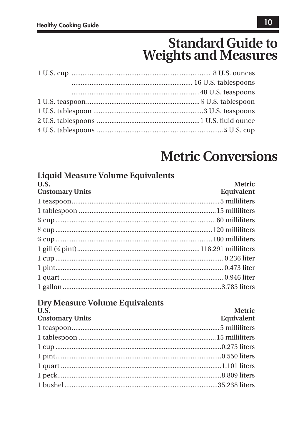## **Standard Guide to Weights and Measures**

## **Metric Conversions**

| <b>Liquid Measure Volume Equivalents</b> |                      |
|------------------------------------------|----------------------|
| ILS.<br><b>Customary Units</b>           | Metric<br>Equivalent |
|                                          |                      |
|                                          |                      |
|                                          |                      |
|                                          |                      |
|                                          |                      |
|                                          |                      |
|                                          |                      |
|                                          |                      |
|                                          |                      |
|                                          |                      |
| <b>Dry Measure Volume Equivalents</b>    |                      |
| U.S.                                     | <b>Metric</b>        |
| <b>Customary Units</b>                   | Equivalent           |
|                                          |                      |
|                                          |                      |
|                                          |                      |
|                                          |                      |
|                                          |                      |
|                                          |                      |
|                                          |                      |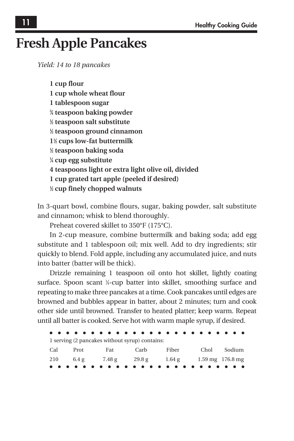## **Fresh Apple Pancakes**

*Yield: 14 to 18 pancakes*

**1 cup flour 1 cup whole wheat flour 1 tablespoon sugar 3 ⁄4 teaspoon baking powder 1 ⁄2 teaspoon salt substitute 1 ⁄2 teaspoon ground cinnamon 11 ⁄2 cups low-fat buttermilk 1 ⁄2 teaspoon baking soda 1 ⁄4 cup egg substitute 4 teaspoons light or extra light olive oil, divided 1 cup grated tart apple (peeled if desired) 1 ⁄2 cup finely chopped walnuts**

In 3-quart bowl, combine flours, sugar, baking powder, salt substitute and cinnamon; whisk to blend thoroughly.

Preheat covered skillet to 350°F (175°C).

In 2-cup measure, combine buttermilk and baking soda; add egg substitute and 1 tablespoon oil; mix well. Add to dry ingredients; stir quickly to blend. Fold apple, including any accumulated juice, and nuts into batter (batter will be thick).

Drizzle remaining 1 teaspoon oil onto hot skillet, lightly coating surface. Spoon scant ¼-cup batter into skillet, smoothing surface and repeating to make three pancakes at a time. Cook pancakes until edges are browned and bubbles appear in batter, about 2 minutes; turn and cook other side until browned. Transfer to heated platter; keep warm. Repeat until all batter is cooked. Serve hot with warm maple syrup, if desired.

|              | 1 serving (2 pancakes without syrup) contains:  |      |                   |  |
|--------------|-------------------------------------------------|------|-------------------|--|
| Cal Prot Fat |                                                 | Carb | Fiber Chol Sodium |  |
|              | 210 6.4 g 7.48 g 29.8 g 1.64 g 1.59 mg 176.8 mg |      |                   |  |
|              |                                                 |      |                   |  |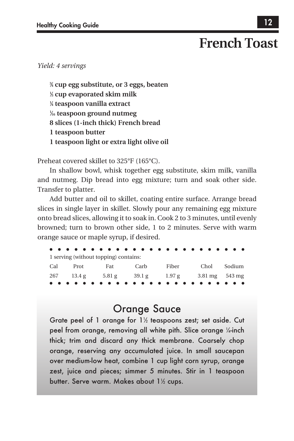## **French Toast**

*Yield: 4 servings*

**3 ⁄4 cup egg substitute, or 3 eggs, beaten 1 ⁄3 cup evaporated skim milk 1 ⁄4 teaspoon vanilla extract 1 ⁄16 teaspoon ground nutmeg 8 slices (1-inch thick) French bread 1 teaspoon butter 1 teaspoon light or extra light olive oil**

Preheat covered skillet to 325°F (165°C).

In shallow bowl, whisk together egg substitute, skim milk, vanilla and nutmeg. Dip bread into egg mixture; turn and soak other side. Transfer to platter.

Add butter and oil to skillet, coating entire surface. Arrange bread slices in single layer in skillet. Slowly pour any remaining egg mixture onto bread slices, allowing it to soak in. Cook 2 to 3 minutes, until evenly browned; turn to brown other side, 1 to 2 minutes. Serve with warm orange sauce or maple syrup, if desired.

|  | 1 serving (without topping) contains: |                                                |                   |  |
|--|---------------------------------------|------------------------------------------------|-------------------|--|
|  | Cal Prot Fat Carb                     |                                                | Fiber Chol Sodium |  |
|  |                                       | 267 13.4 g 5.81 g 39.1 g 1.97 g 3.81 mg 543 mg |                   |  |
|  |                                       |                                                |                   |  |

### Orange Sauce

Grate peel of 1 orange for  $1\%$  teaspoons zest; set aside. Cut peel from orange, removing all white pith. Slice orange ¼-inch thick; trim and discard any thick membrane. Coarsely chop orange, reserving any accumulated juice. In small saucepan over medium-low heat, combine 1 cup light corn syrup, orange zest, juice and pieces; simmer 5 minutes. Stir in 1 teaspoon butter. Serve warm. Makes about 11 ⁄2 cups.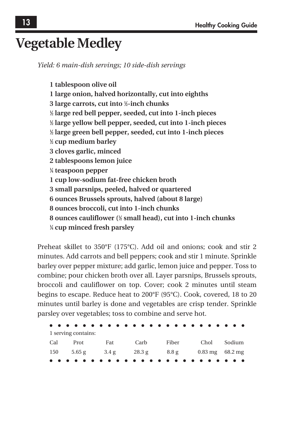## **Vegetable Medley**

*Yield: 6 main-dish servings; 10 side-dish servings*

**1 tablespoon olive oil 1 large onion, halved horizontally, cut into eighths 3 large carrots, cut into 1 ⁄2-inch chunks 1 ⁄2 large red bell pepper, seeded, cut into 1-inch pieces 1 ⁄2 large yellow bell pepper, seeded, cut into 1-inch pieces 1 ⁄2 large green bell pepper, seeded, cut into 1-inch pieces 1 ⁄2 cup medium barley 3 cloves garlic, minced 2 tablespoons lemon juice 1 ⁄4 teaspoon pepper 1 cup low-sodium fat-free chicken broth 3 small parsnips, peeled, halved or quartered 6 ounces Brussels sprouts, halved (about 8 large) 8 ounces broccoli, cut into 1-inch chunks 8 ounces cauliflower (1 ⁄2 small head), cut into 1-inch chunks 1 ⁄4 cup minced fresh parsley**

Preheat skillet to 350°F (175°C). Add oil and onions; cook and stir 2 minutes. Add carrots and bell peppers; cook and stir 1 minute. Sprinkle barley over pepper mixture; add garlic, lemon juice and pepper. Toss to combine; pour chicken broth over all. Layer parsnips, Brussels sprouts, broccoli and cauliflower on top. Cover; cook 2 minutes until steam begins to escape. Reduce heat to 200°F (95°C). Cook, covered, 18 to 20 minutes until barley is done and vegetables are crisp tender. Sprinkle parsley over vegetables; toss to combine and serve hot.

|     | 1 serving contains: |     |                                         |       |                              |        |  |  |
|-----|---------------------|-----|-----------------------------------------|-------|------------------------------|--------|--|--|
| Cal | Prot                | Fat | Carb                                    | Fiber | Chol                         | Sodium |  |  |
|     |                     |     | $150$ $5.65$ g $3.4$ g $28.3$ g $8.8$ g |       | $0.83 \,\mathrm{mg}$ 68.2 mg |        |  |  |
|     |                     |     |                                         |       |                              |        |  |  |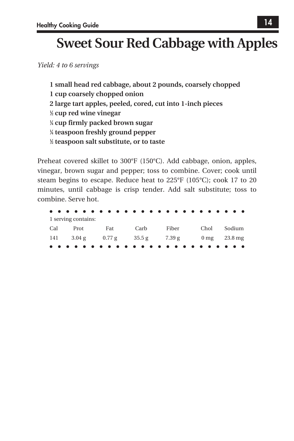# **Sweet Sour Red Cabbage with Apples**

*Yield: 4 to 6 servings*

**1 small head red cabbage, about 2 pounds, coarsely chopped 1 cup coarsely chopped onion 2 large tart apples, peeled, cored, cut into 1-inch pieces 1 ⁄2 cup red wine vinegar 1 ⁄4 cup firmly packed brown sugar 1 ⁄4 teaspoon freshly ground pepper 1 ⁄2 teaspoon salt substitute, or to taste**

Preheat covered skillet to 300°F (150°C). Add cabbage, onion, apples, vinegar, brown sugar and pepper; toss to combine. Cover; cook until steam begins to escape. Reduce heat to 225°F (105°C); cook 17 to 20 minutes, until cabbage is crisp tender. Add salt substitute; toss to combine. Serve hot.

| 1 serving contains: |  |  |  |      |                                                                                                          |       |  |  |  |  |  |             |  |  |  |
|---------------------|--|--|--|------|----------------------------------------------------------------------------------------------------------|-------|--|--|--|--|--|-------------|--|--|--|
| Cal Prot Fat        |  |  |  | Carb |                                                                                                          | Fiber |  |  |  |  |  | Chol Sodium |  |  |  |
|                     |  |  |  |      | 141 $3.04 \text{ g}$ $0.77 \text{ g}$ $35.5 \text{ g}$ $7.39 \text{ g}$ $0 \text{ mg}$ $23.8 \text{ mg}$ |       |  |  |  |  |  |             |  |  |  |
|                     |  |  |  |      |                                                                                                          |       |  |  |  |  |  |             |  |  |  |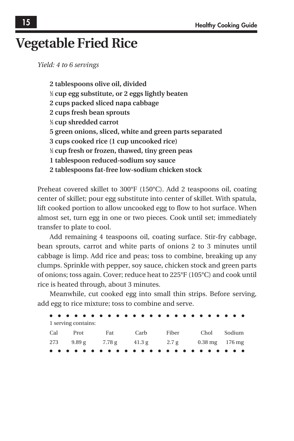## **Vegetable Fried Rice**

*Yield: 4 to 6 servings*

**2 tablespoons olive oil, divided 1 ⁄2 cup egg substitute, or 2 eggs lightly beaten 2 cups packed sliced napa cabbage 2 cups fresh bean sprouts 1 ⁄3 cup shredded carrot 5 green onions, sliced, white and green parts separated 3 cups cooked rice (1 cup uncooked rice) 1 ⁄2 cup fresh or frozen, thawed, tiny green peas 1 tablespoon reduced-sodium soy sauce 2 tablespoons fat-free low-sodium chicken stock**

Preheat covered skillet to 300°F (150°C). Add 2 teaspoons oil, coating center of skillet; pour egg substitute into center of skillet. With spatula, lift cooked portion to allow uncooked egg to flow to hot surface. When almost set, turn egg in one or two pieces. Cook until set; immediately transfer to plate to cool.

Add remaining 4 teaspoons oil, coating surface. Stir-fry cabbage, bean sprouts, carrot and white parts of onions 2 to 3 minutes until cabbage is limp. Add rice and peas; toss to combine, breaking up any clumps. Sprinkle with pepper, soy sauce, chicken stock and green parts of onions; toss again. Cover; reduce heat to 225°F (105°C) and cook until rice is heated through, about 3 minutes.

Meanwhile, cut cooked egg into small thin strips. Before serving, add egg to rice mixture; toss to combine and serve.

| 1 serving contains: |      |                                               |                   |  |  |  |
|---------------------|------|-----------------------------------------------|-------------------|--|--|--|
| Cal Prot Fat        | Carb |                                               | Fiber Chol Sodium |  |  |  |
|                     |      | 273 9.89 g 7.78 g 41.3 g 2.7 g 0.38 mg 176 mg |                   |  |  |  |
|                     |      |                                               |                   |  |  |  |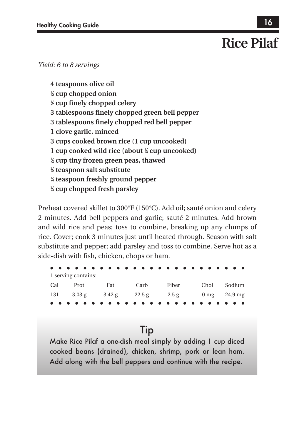# **Rice Pilaf**

*Yield: 6 to 8 servings*

**4 teaspoons olive oil 1 ⁄2 cup chopped onion 1 ⁄2 cup finely chopped celery 3 tablespoons finely chopped green bell pepper 3 tablespoons finely chopped red bell pepper 1 clove garlic, minced 3 cups cooked brown rice (1 cup uncooked) 1 cup cooked wild rice (about 1 ⁄3 cup uncooked) 1 ⁄2 cup tiny frozen green peas, thawed 1 ⁄2 teaspoon salt substitute 1 ⁄4 teaspoon freshly ground pepper 1 ⁄4 cup chopped fresh parsley**

Preheat covered skillet to 300°F (150°C). Add oil; sauté onion and celery 2 minutes. Add bell peppers and garlic; sauté 2 minutes. Add brown and wild rice and peas; toss to combine, breaking up any clumps of rice. Cover; cook 3 minutes just until heated through. Season with salt substitute and pepper; add parsley and toss to combine. Serve hot as a side-dish with fish, chicken, chops or ham.

| 1 serving contains: |     |                                                                                                                 |       |      |        |
|---------------------|-----|-----------------------------------------------------------------------------------------------------------------|-------|------|--------|
| Cal Prot            | Fat | Carb                                                                                                            | Fiber | Chol | Sodium |
|                     |     | $131 \t 3.03 \text{ g} \t 3.42 \text{ g} \t 22.5 \text{ g} \t 2.5 \text{ g} \t 0 \text{ mg} \t 24.9 \text{ mg}$ |       |      |        |
|                     |     |                                                                                                                 |       |      |        |

### **Tip**

Make Rice Pilaf a one-dish meal simply by adding 1 cup diced cooked beans (drained), chicken, shrimp, pork or lean ham. Add along with the bell peppers and continue with the recipe.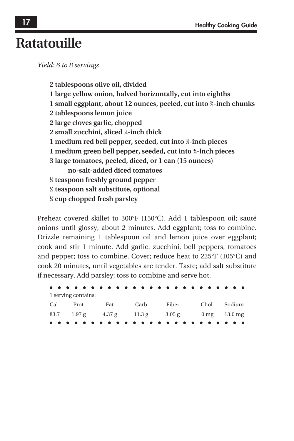## **Ratatouille**

*Yield: 6 to 8 servings*

**2 tablespoons olive oil, divided 1 large yellow onion, halved horizontally, cut into eighths 1 small eggplant, about 12 ounces, peeled, cut into 3 ⁄4-inch chunks 2 tablespoons lemon juice 2 large cloves garlic, chopped 2 small zucchini, sliced 1 ⁄4-inch thick 1 medium red bell pepper, seeded, cut into 3 ⁄4-inch pieces 1 medium green bell pepper, seeded, cut into 3 ⁄4-inch pieces 3 large tomatoes, peeled, diced, or 1 can (15 ounces) no-salt-added diced tomatoes 1 ⁄4 teaspoon freshly ground pepper 1 ⁄2 teaspoon salt substitute, optional 1 ⁄4 cup chopped fresh parsley**

Preheat covered skillet to 300°F (150°C). Add 1 tablespoon oil; sauté onions until glossy, about 2 minutes. Add eggplant; toss to combine. Drizzle remaining 1 tablespoon oil and lemon juice over eggplant; cook and stir 1 minute. Add garlic, zucchini, bell peppers, tomatoes and pepper; toss to combine. Cover; reduce heat to 225°F (105°C) and cook 20 minutes, until vegetables are tender. Taste; add salt substitute if necessary. Add parsley; toss to combine and serve hot.

| 1 serving contains: |      |                                               |      |        |  |  |
|---------------------|------|-----------------------------------------------|------|--------|--|--|
| Cal Prot Fat        | Carb | Fiber                                         | Chol | Sodium |  |  |
|                     |      | 83.7 1.97 g 4.37 g 11.3 g 3.05 g 0 mg 13.0 mg |      |        |  |  |
|                     |      |                                               |      |        |  |  |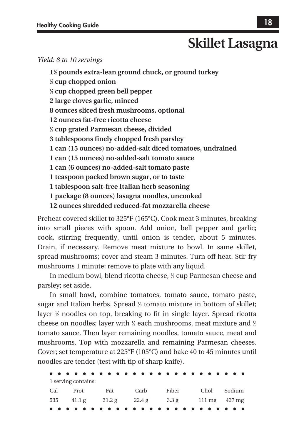## **Skillet Lasagna**

### *Yield: 8 to 10 servings*

**11 ⁄2 pounds extra-lean ground chuck, or ground turkey 2 ⁄3 cup chopped onion 1 ⁄4 cup chopped green bell pepper 2 large cloves garlic, minced 8 ounces sliced fresh mushrooms, optional 12 ounces fat-free ricotta cheese 1 ⁄2 cup grated Parmesan cheese, divided 3 tablespoons finely chopped fresh parsley 1 can (15 ounces) no-added-salt diced tomatoes, undrained 1 can (15 ounces) no-added-salt tomato sauce 1 can (6 ounces) no-added-salt tomato paste 1 teaspoon packed brown sugar, or to taste 1 tablespoon salt-free Italian herb seasoning 1 package (8 ounces) lasagna noodles, uncooked 12 ounces shredded reduced-fat mozzarella cheese**

Preheat covered skillet to 325°F (165°C). Cook meat 3 minutes, breaking into small pieces with spoon. Add onion, bell pepper and garlic; cook, stirring frequently, until onion is tender, about 5 minutes. Drain, if necessary. Remove meat mixture to bowl. In same skillet, spread mushrooms; cover and steam 3 minutes. Turn off heat. Stir-fry mushrooms 1 minute; remove to plate with any liquid.

In medium bowl, blend ricotta cheese, ¼ cup Parmesan cheese and parsley; set aside.

In small bowl, combine tomatoes, tomato sauce, tomato paste, sugar and Italian herbs. Spread <sup>1/3</sup> tomato mixture in bottom of skillet; layer 1 ⁄2 noodles on top, breaking to fit in single layer. Spread ricotta cheese on noodles; layer with ½ each mushrooms, meat mixture and ½ tomato sauce. Then layer remaining noodles, tomato sauce, meat and mushrooms. Top with mozzarella and remaining Parmesan cheeses. Cover; set temperature at 225°F (105°C) and bake 40 to 45 minutes until noodles are tender (test with tip of sharp knife).

1 serving contains: Cal Prot Fat Carb Fiber Chol Sodium 535 41.1 g 31.2 g 22.4 g 3.3 g 111 mg 427 mg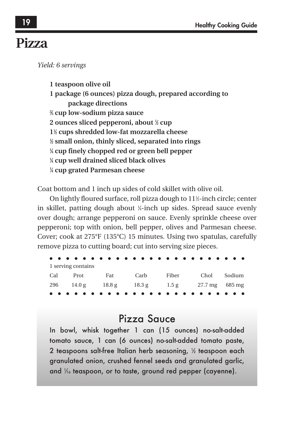## **Pizza**

*Yield: 6 servings*

**1 teaspoon olive oil 1 package (6 ounces) pizza dough, prepared according to package directions 2 ⁄3 cup low-sodium pizza sauce 2 ounces sliced pepperoni, about 1 ⁄2 cup 11 ⁄2 cups shredded low-fat mozzarella cheese 1 ⁄2 small onion, thinly sliced, separated into rings 1 ⁄4 cup finely chopped red or green bell pepper 1 ⁄4 cup well drained sliced black olives 1 ⁄4 cup grated Parmesan cheese**

Coat bottom and 1 inch up sides of cold skillet with olive oil.

On lightly floured surface, roll pizza dough to 11½-inch circle; center in skillet, patting dough about 1 ⁄4-inch up sides. Spread sauce evenly over dough; arrange pepperoni on sauce. Evenly sprinkle cheese over pepperoni; top with onion, bell pepper, olives and Parmesan cheese. Cover; cook at 275°F (135°C) 15 minutes. Using two spatulas, carefully remove pizza to cutting board; cut into serving size pieces.

| 1 serving contains |      |       |  |      |  |  |       |                                               |  |      |  |  |  |        |  |  |  |
|--------------------|------|-------|--|------|--|--|-------|-----------------------------------------------|--|------|--|--|--|--------|--|--|--|
| Cal                | Prot | - Fat |  | Carb |  |  | Fiber |                                               |  | Chol |  |  |  | Sodium |  |  |  |
|                    |      |       |  |      |  |  |       | 296 14.0 g 18.8 g 18.3 g 1.5 g 27.7 mg 685 mg |  |      |  |  |  |        |  |  |  |
|                    |      |       |  |      |  |  |       |                                               |  |      |  |  |  |        |  |  |  |

### Pizza Sauce

In bowl, whisk together 1 can (15 ounces) no-salt-added tomato sauce, 1 can (6 ounces) no-salt-added tomato paste, 2 teaspoons salt-free Italian herb seasoning,  $\%$  teaspoon each  $^2$ granulated onion, crushed fennel seeds and granulated garlic, and  $\frac{1}{6}$  teaspoon, or to taste, ground red pepper (cayenne).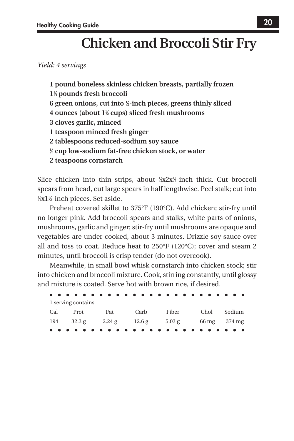# **Chicken and Broccoli Stir Fry**

*Yield: 4 servings*

**1 pound boneless skinless chicken breasts, partially frozen 11 ⁄4 pounds fresh broccoli 6 green onions, cut into 1 ⁄2-inch pieces, greens thinly sliced 4 ounces (about 11 ⁄2 cups) sliced fresh mushrooms 3 cloves garlic, minced 1 teaspoon minced fresh ginger 2 tablespoons reduced-sodium soy sauce 1 ⁄3 cup low-sodium fat-free chicken stock, or water 2 teaspoons cornstarch**

Slice chicken into thin strips, about  $\frac{1}{2}x2x\frac{1}{6}$ -inch thick. Cut broccoli spears from head, cut large spears in half lengthwise. Peel stalk; cut into 1 ⁄4x11 ⁄2-inch pieces. Set aside.

Preheat covered skillet to 375°F (190°C). Add chicken; stir-fry until no longer pink. Add broccoli spears and stalks, white parts of onions, mushrooms, garlic and ginger; stir-fry until mushrooms are opaque and vegetables are under cooked, about 3 minutes. Drizzle soy sauce over all and toss to coat. Reduce heat to  $250^{\circ}F (120^{\circ}C)$ ; cover and steam 2 minutes, until broccoli is crisp tender (do not overcook).

Meanwhile, in small bowl whisk cornstarch into chicken stock; stir into chicken and broccoli mixture. Cook, stirring constantly, until glossy and mixture is coated. Serve hot with brown rice, if desired.

| 1 serving contains: |     |      |                                                  |      |        |
|---------------------|-----|------|--------------------------------------------------|------|--------|
| Cal Prot            | Fat | Carb | Fiber                                            | Chol | Sodium |
|                     |     |      | $194$ 32.3 g 2.24 g $12.6$ g 5.03 g 66 mg 374 mg |      |        |
|                     |     |      |                                                  |      |        |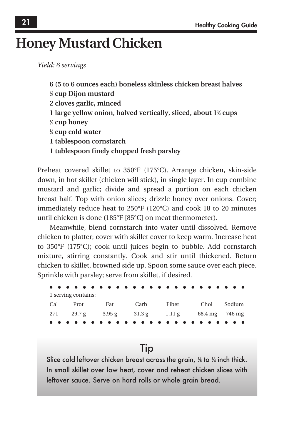## **Honey Mustard Chicken**

*Yield: 6 servings*

**6 (5 to 6 ounces each) boneless skinless chicken breast halves 2 ⁄3 cup Dijon mustard 2 cloves garlic, minced 1 large yellow onion, halved vertically, sliced, about 11 ⁄2 cups 1 ⁄2 cup honey 1 ⁄4 cup cold water 1 tablespoon cornstarch 1 tablespoon finely chopped fresh parsley**

Preheat covered skillet to 350°F (175°C). Arrange chicken, skin-side down, in hot skillet (chicken will stick), in single layer. In cup combine mustard and garlic; divide and spread a portion on each chicken breast half. Top with onion slices; drizzle honey over onions. Cover; immediately reduce heat to 250°F (120°C) and cook 18 to 20 minutes until chicken is done (185°F [85°C] on meat thermometer).

Meanwhile, blend cornstarch into water until dissolved. Remove chicken to platter; cover with skillet cover to keep warm. Increase heat to 350°F (175°C); cook until juices begin to bubble. Add cornstarch mixture, stirring constantly. Cook and stir until thickened. Return chicken to skillet, browned side up. Spoon some sauce over each piece. Sprinkle with parsley; serve from skillet, if desired.

| 1 serving contains: |      |                                                        |      |        |
|---------------------|------|--------------------------------------------------------|------|--------|
| Cal Prot Fat        | Carb | Fiber                                                  | Chol | Sodium |
|                     |      | 271 29.7 g $3.95 g$ $31.3 g$ $1.11 g$ $68.4 mg$ 746 mg |      |        |
|                     |      |                                                        |      |        |

### Tip

Slice cold leftover chicken breast across the grain, 1⁄8 to 1⁄4 inch thick. In small skillet over low heat, cover and reheat chicken slices with leftover sauce. Serve on hard rolls or whole grain bread.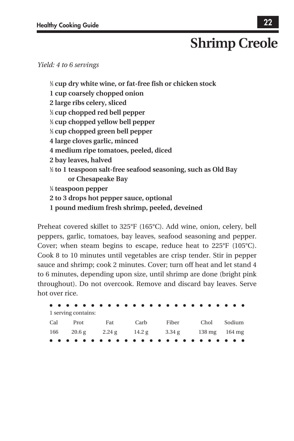# **Shrimp Creole**

#### *Yield: 4 to 6 servings*

**1 ⁄3 cup dry white wine, or fat-free fish or chicken stock 1 cup coarsely chopped onion 2 large ribs celery, sliced 1 ⁄3 cup chopped red bell pepper 1 ⁄3 cup chopped yellow bell pepper 1 ⁄3 cup chopped green bell pepper 4 large cloves garlic, minced 4 medium ripe tomatoes, peeled, diced 2 bay leaves, halved 1 ⁄2 to 1 teaspoon salt-free seafood seasoning, such as Old Bay or Chesapeake Bay 1 ⁄4 teaspoon pepper 2 to 3 drops hot pepper sauce, optional 1 pound medium fresh shrimp, peeled, deveined**

Preheat covered skillet to 325°F (165°C). Add wine, onion, celery, bell peppers, garlic, tomatoes, bay leaves, seafood seasoning and pepper. Cover; when steam begins to escape, reduce heat to 225°F (105°C). Cook 8 to 10 minutes until vegetables are crisp tender. Stir in pepper sauce and shrimp; cook 2 minutes. Cover; turn off heat and let stand 4 to 6 minutes, depending upon size, until shrimp are done (bright pink throughout). Do not overcook. Remove and discard bay leaves. Serve hot over rice.

| 1 serving contains: |      |                                               |             |  |
|---------------------|------|-----------------------------------------------|-------------|--|
| Cal Prot Fat        | Carb | Fiber                                         | Chol Sodium |  |
|                     |      | 166 20.6 g 2.24 g 14.2 g 3.34 g 138 mg 164 mg |             |  |
|                     |      |                                               |             |  |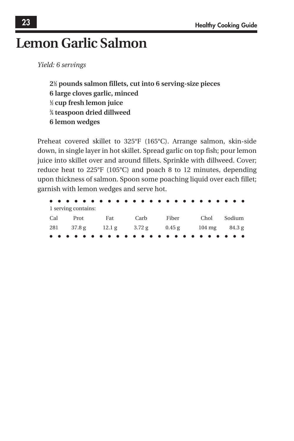## **Lemon Garlic Salmon**

*Yield: 6 servings*

**21 ⁄2 pounds salmon fillets, cut into 6 serving-size pieces 6 large cloves garlic, minced 1 ⁄2 cup fresh lemon juice 3 ⁄4 teaspoon dried dillweed 6 lemon wedges**

Preheat covered skillet to 325°F (165°C). Arrange salmon, skin-side down, in single layer in hot skillet. Spread garlic on top fish; pour lemon juice into skillet over and around fillets. Sprinkle with dillweed. Cover; reduce heat to 225°F (105°C) and poach 8 to 12 minutes, depending upon thickness of salmon. Spoon some poaching liquid over each fillet; garnish with lemon wedges and serve hot.

| 1 serving contains:                                               |  |  |  |  |      |  |       |  |  |  |             |  |
|-------------------------------------------------------------------|--|--|--|--|------|--|-------|--|--|--|-------------|--|
| Cal Prot Fat                                                      |  |  |  |  | Carb |  | Fiber |  |  |  | Chol Sodium |  |
| 281 $37.8 \text{ g}$ 12.1 g $3.72 \text{ g}$ 0.45 g 104 mg 84.3 g |  |  |  |  |      |  |       |  |  |  |             |  |
|                                                                   |  |  |  |  |      |  |       |  |  |  |             |  |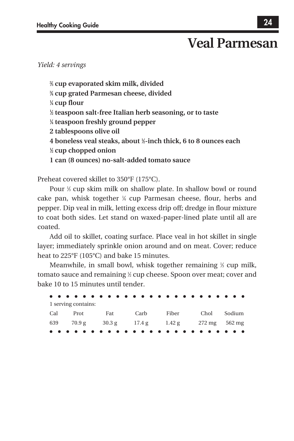## **Veal Parmesan**

### *Yield: 4 servings*

 **⁄3 cup evaporated skim milk, divided ⁄4 cup grated Parmesan cheese, divided ⁄4 cup flour ⁄2 teaspoon salt-free Italian herb seasoning, or to taste ⁄4 teaspoon freshly ground pepper 2 tablespoons olive oil 4 boneless veal steaks, about 1 ⁄2-inch thick, 6 to 8 ounces each ⁄2 cup chopped onion 1 can (8 ounces) no-salt-added tomato sauce**

Preheat covered skillet to 350°F (175°C).

Pour <sup>1/3</sup> cup skim milk on shallow plate. In shallow bowl or round cake pan, whisk together 1 ⁄4 cup Parmesan cheese, flour, herbs and pepper. Dip veal in milk, letting excess drip off; dredge in flour mixture to coat both sides. Let stand on waxed-paper-lined plate until all are coated.

Add oil to skillet, coating surface. Place veal in hot skillet in single layer; immediately sprinkle onion around and on meat. Cover; reduce heat to 225°F (105°C) and bake 15 minutes.

Meanwhile, in small bowl, whisk together remaining <sup>1/3</sup> cup milk, tomato sauce and remaining 1 ⁄2 cup cheese. Spoon over meat; cover and bake 10 to 15 minutes until tender.

| 1 serving contains: |      |                                               |             |  |
|---------------------|------|-----------------------------------------------|-------------|--|
| Cal Prot Fat        | Carb | Fiber                                         | Chol Sodium |  |
|                     |      | 639 70.9 g 30.3 g 17.4 g 1.42 g 272 mg 562 mg |             |  |
|                     |      |                                               |             |  |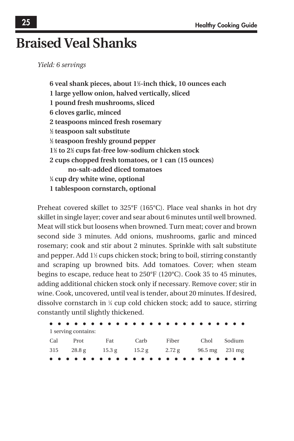## **Braised Veal Shanks**

*Yield: 6 servings*

**6 veal shank pieces, about 11 ⁄2-inch thick, 10 ounces each 1 large yellow onion, halved vertically, sliced 1 pound fresh mushrooms, sliced 6 cloves garlic, minced 2 teaspoons minced fresh rosemary 1 ⁄2 teaspoon salt substitute 1 ⁄2 teaspoon freshly ground pepper 11 ⁄2 to 21 ⁄2 cups fat-free low-sodium chicken stock 2 cups chopped fresh tomatoes, or 1 can (15 ounces) no-salt-added diced tomatoes 1 ⁄4 cup dry white wine, optional 1 tablespoon cornstarch, optional**

Preheat covered skillet to 325°F (165°C). Place veal shanks in hot dry skillet in single layer; cover and sear about 6 minutes until well browned. Meat will stick but loosens when browned. Turn meat; cover and brown second side 3 minutes. Add onions, mushrooms, garlic and minced rosemary; cook and stir about 2 minutes. Sprinkle with salt substitute and pepper. Add 1<sup>1</sup>/<sub>2</sub> cups chicken stock; bring to boil, stirring constantly and scraping up browned bits. Add tomatoes. Cover; when steam begins to escape, reduce heat to 250°F (120°C). Cook 35 to 45 minutes, adding additional chicken stock only if necessary. Remove cover; stir in wine. Cook, uncovered, until veal is tender, about 20 minutes. If desired, dissolve cornstarch in 1 ⁄4 cup cold chicken stock; add to sauce, stirring constantly until slightly thickened.

| 1 serving contains: |              |      |                                                          |      |        |
|---------------------|--------------|------|----------------------------------------------------------|------|--------|
|                     | Cal Prot Fat | Carb | Fiber                                                    | Chol | Sodium |
|                     |              |      | 315 $28.8 \text{ g}$ 15.3 g 15.2 g 2.72 g 96.5 mg 231 mg |      |        |
|                     |              |      |                                                          |      |        |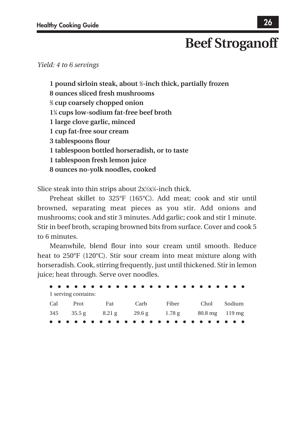## **Beef Stroganoff**

#### *Yield: 4 to 6 servings*

**1 pound sirloin steak, about 1 ⁄2-inch thick, partially frozen 8 ounces sliced fresh mushrooms 2 ⁄3 cup coarsely chopped onion 11 ⁄4 cups low-sodium fat-free beef broth 1 large clove garlic, minced 1 cup fat-free sour cream 3 tablespoons flour 1 tablespoon bottled horseradish, or to taste 1 tablespoon fresh lemon juice 8 ounces no-yolk noodles, cooked**

Slice steak into thin strips about 2x½x¼-inch thick.

Preheat skillet to 325°F (165°C). Add meat; cook and stir until browned, separating meat pieces as you stir. Add onions and mushrooms; cook and stir 3 minutes. Add garlic; cook and stir 1 minute. Stir in beef broth, scraping browned bits from surface. Cover and cook 5 to 6 minutes.

Meanwhile, blend flour into sour cream until smooth. Reduce heat to 250°F (120°C). Stir sour cream into meat mixture along with horseradish. Cook, stirring frequently, just until thickened. Stir in lemon juice; heat through. Serve over noodles.

| 1 serving contains: |     |      |                                                              |      |        |
|---------------------|-----|------|--------------------------------------------------------------|------|--------|
| Cal Prot            | Fat | Carb | Fiber                                                        | Chol | Sodium |
|                     |     |      | $345$ $35.5$ g $8.21$ g $29.6$ g $1.78$ g $80.8$ mg $119$ mg |      |        |
|                     |     |      |                                                              |      |        |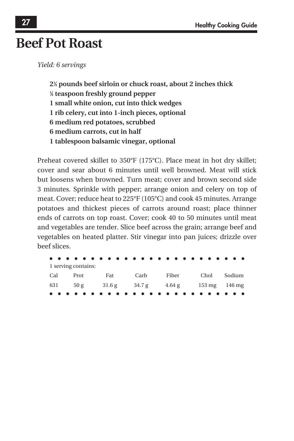## **Beef Pot Roast**

*Yield: 6 servings*

**21 ⁄4 pounds beef sirloin or chuck roast, about 2 inches thick 1 ⁄4 teaspoon freshly ground pepper 1 small white onion, cut into thick wedges 1 rib celery, cut into 1-inch pieces, optional 6 medium red potatoes, scrubbed 6 medium carrots, cut in half 1 tablespoon balsamic vinegar, optional**

Preheat covered skillet to 350°F (175°C). Place meat in hot dry skillet; cover and sear about 6 minutes until well browned. Meat will stick but loosens when browned. Turn meat; cover and brown second side 3 minutes. Sprinkle with pepper; arrange onion and celery on top of meat. Cover; reduce heat to 225°F (105°C) and cook 45 minutes. Arrange potatoes and thickest pieces of carrots around roast; place thinner ends of carrots on top roast. Cover; cook 40 to 50 minutes until meat and vegetables are tender. Slice beef across the grain; arrange beef and vegetables on heated platter. Stir vinegar into pan juices; drizzle over beef slices.

|     | 1 serving contains: |     |      |                                                     |      |        |
|-----|---------------------|-----|------|-----------------------------------------------------|------|--------|
| Cal | Prot                | Fat | Carb | Fiber                                               | Chol | Sodium |
|     |                     |     |      | 631 $50 g$ 31.6 $g$ 34.7 $g$ 4.64 $g$ 153 mg 146 mg |      |        |
|     |                     |     |      |                                                     |      |        |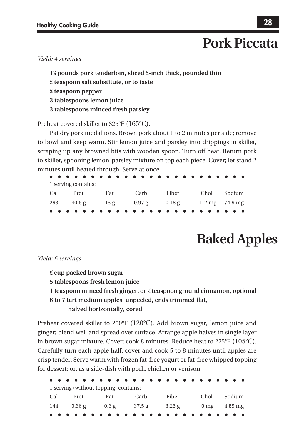## **Pork Piccata**

### *Yield: 4 servings*

**11 ⁄4 pounds pork tenderloin, sliced 1 ⁄4-inch thick, pounded thin 1 ⁄4 teaspoon salt substitute, or to taste 1 ⁄8 teaspoon pepper 3 tablespoons lemon juice 3 tablespoons minced fresh parsley**

Preheat covered skillet to 325°F (165°C).

Pat dry pork medallions. Brown pork about 1 to 2 minutes per side; remove to bowl and keep warm. Stir lemon juice and parsley into drippings in skillet, scraping up any browned bits with wooden spoon. Turn off heat. Return pork to skillet, spooning lemon-parsley mixture on top each piece. Cover; let stand 2 minutes until heated through. Serve at once.

| 1 serving contains: |              |      |                                              |                   |  |
|---------------------|--------------|------|----------------------------------------------|-------------------|--|
|                     | Cal Prot Fat | Carb |                                              | Fiber Chol Sodium |  |
|                     |              |      | 293 40.6 g 13 g 0.97 g 0.18 g 112 mg 74.9 mg |                   |  |
|                     |              |      |                                              |                   |  |

# **Baked Apples**

#### *Yield: 6 servings*

- **1 ⁄2 cup packed brown sugar**
- **5 tablespoons fresh lemon juice**
- **1 teaspoon minced fresh ginger, or 1 ⁄2 teaspoon ground cinnamon, optional 6 to 7 tart medium apples, unpeeled, ends trimmed flat,**

#### **halved horizontally, cored**

Preheat covered skillet to 250°F (120°C). Add brown sugar, lemon juice and ginger; blend well and spread over surface. Arrange apple halves in single layer in brown sugar mixture. Cover; cook 8 minutes. Reduce heat to 225°F (105°C). Carefully turn each apple half; cover and cook 5 to 8 minutes until apples are crisp tender. Serve warm with frozen fat-free yogurt or fat-free whipped topping for dessert; or, as a side-dish with pork, chicken or venison.

|     |                             | 1 serving (without topping) contains: |                        |       |                                         |        |
|-----|-----------------------------|---------------------------------------|------------------------|-------|-----------------------------------------|--------|
| Cal | Prot                        | Fat                                   | Carb                   | Fiber | Chol                                    | Sodium |
|     | $144 \qquad 0.36 \text{ g}$ |                                       | $0.6 \text{ g}$ 37.5 g |       | $3.23 \text{ g}$ 0 mg $4.89 \text{ mg}$ |        |
|     |                             |                                       |                        |       |                                         |        |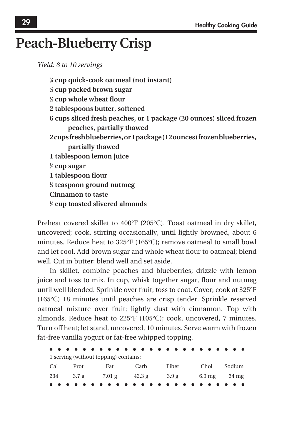## **Peach-Blueberry Crisp**

*Yield: 8 to 10 servings*

**3 ⁄4 cup quick-cook oatmeal (not instant) 2 ⁄3 cup packed brown sugar 1 ⁄2 cup whole wheat flour 2 tablespoons butter, softened 6 cups sliced fresh peaches, or 1 package (20 ounces) sliced frozen peaches, partially thawed 2 cups fresh blueberries, or 1 package (12 ounces) frozen blueberries, partially thawed 1 tablespoon lemon juice 1 ⁄2 cup sugar 1 tablespoon flour 1 ⁄4 teaspoon ground nutmeg Cinnamon to taste 1 ⁄2 cup toasted slivered almonds**

Preheat covered skillet to 400°F (205°C). Toast oatmeal in dry skillet, uncovered; cook, stirring occasionally, until lightly browned, about 6 minutes. Reduce heat to 325°F (165°C); remove oatmeal to small bowl and let cool. Add brown sugar and whole wheat flour to oatmeal; blend well. Cut in butter; blend well and set aside.

In skillet, combine peaches and blueberries; drizzle with lemon juice and toss to mix. In cup, whisk together sugar, flour and nutmeg until well blended. Sprinkle over fruit; toss to coat. Cover; cook at 325°F (165°C) 18 minutes until peaches are crisp tender. Sprinkle reserved oatmeal mixture over fruit; lightly dust with cinnamon. Top with almonds. Reduce heat to 225°F (105°C); cook, uncovered, 7 minutes. Turn off heat; let stand, uncovered, 10 minutes. Serve warm with frozen fat-free vanilla yogurt or fat-free whipped topping.

|     |           | 1 serving (without topping) contains: |        |                 |                                  |        |
|-----|-----------|---------------------------------------|--------|-----------------|----------------------------------|--------|
| Cal | Prot      | Fat                                   | Carb   | Fiber           | Chol                             | Sodium |
|     | 234 3.7 g | 7.01 g                                | 42.3 g | $3.9 \text{ g}$ | $6.9 \text{ mg}$ $34 \text{ mg}$ |        |
|     |           |                                       |        |                 |                                  |        |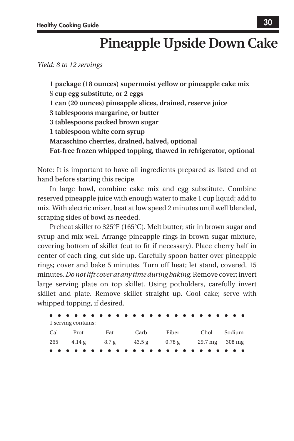*Yield: 8 to 12 servings*

**1 package (18 ounces) supermoist yellow or pineapple cake mix 1 ⁄2 cup egg substitute, or 2 eggs 1 can (20 ounces) pineapple slices, drained, reserve juice 3 tablespoons margarine, or butter 3 tablespoons packed brown sugar 1 tablespoon white corn syrup Maraschino cherries, drained, halved, optional Fat-free frozen whipped topping, thawed in refrigerator, optional**

Note: It is important to have all ingredients prepared as listed and at hand before starting this recipe.

In large bowl, combine cake mix and egg substitute. Combine reserved pineapple juice with enough water to make 1 cup liquid; add to mix. With electric mixer, beat at low speed 2 minutes until well blended, scraping sides of bowl as needed.

Preheat skillet to 325°F (165°C). Melt butter; stir in brown sugar and syrup and mix well. Arrange pineapple rings in brown sugar mixture, covering bottom of skillet (cut to fit if necessary). Place cherry half in center of each ring, cut side up. Carefully spoon batter over pineapple rings; cover and bake 5 minutes. Turn off heat; let stand, covered, 15 minutes. *Do not lift cover at any time during baking.* Remove cover; invert large serving plate on top skillet. Using potholders, carefully invert skillet and plate. Remove skillet straight up. Cool cake; serve with whipped topping, if desired.

| 1 serving contains: |     |      |                                               |             |  |
|---------------------|-----|------|-----------------------------------------------|-------------|--|
| Cal Prot            | Fat | Carb | Fiber                                         | Chol Sodium |  |
|                     |     |      | 265 4.14 g 8.7 g 43.5 g 0.78 g 29.7 mg 308 mg |             |  |
|                     |     |      |                                               |             |  |